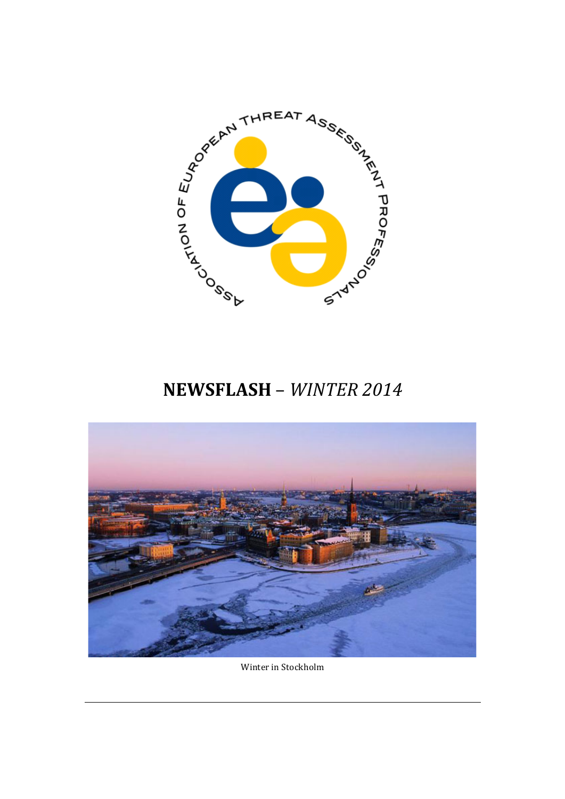

# **NEWSFLASH** – *WINTER 2014*



Winter in Stockholm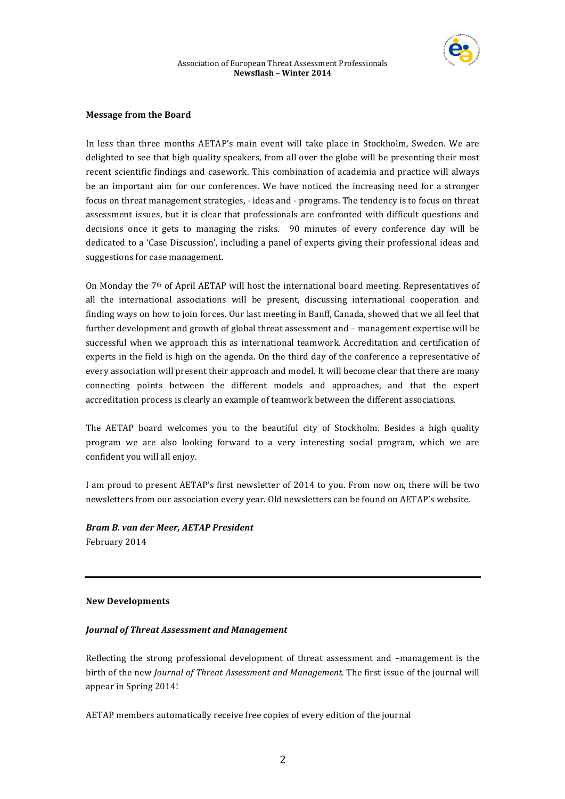

## **Message from the Board**

In less than three months AETAP's main event will take place in Stockholm, Sweden. We are delighted to see that high quality speakers, from all over the globe will be presenting their most recent scientific findings and casework. This combination of academia and practice will always be an important aim for our conferences. We have noticed the increasing need for a stronger focus on threat management strategies, - ideas and - programs. The tendency is to focus on threat assessment issues, but it is clear that professionals are confronted with difficult questions and decisions once it gets to managing the risks. 90 minutes of every conference day will be dedicated to a 'Case Discussion', including a panel of experts giving their professional ideas and suggestions for case management.

On Monday the 7<sup>th</sup> of April AETAP will host the international board meeting. Representatives of all the international associations will be present, discussing international cooperation and finding ways on how to join forces. Our last meeting in Banff, Canada, showed that we all feel that further development and growth of global threat assessment and – management expertise will be successful when we approach this as international teamwork. Accreditation and certification of experts in the field is high on the agenda. On the third day of the conference a representative of every association will present their approach and model. It will become clear that there are many connecting points between the different models and approaches, and that the expert accreditation process is clearly an example of teamwork between the different associations.

The AETAP board welcomes you to the beautiful city of Stockholm. Besides a high quality program we are also looking forward to a very interesting social program, which we are confident you will all enjoy.

I am proud to present AETAP's first newsletter of 2014 to you. From now on, there will be two newsletters from our association every year. Old newsletters can be found on AETAP's website.

*Bram B. van der Meer, AETAP President* February 2014

# **New Developments**

# *Journal of Threat Assessment and Management*

Reflecting the strong professional development of threat assessment and  $-$ management is the birth of the new *Journal of Threat Assessment and Management*. The first issue of the journal will appear in Spring 2014!

AETAP members automatically receive free copies of every edition of the journal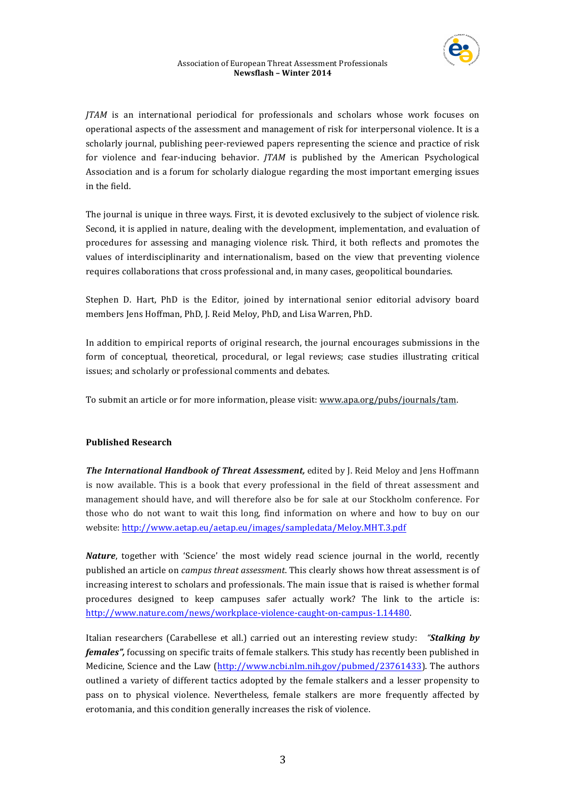

*JTAM* is an international periodical for professionals and scholars whose work focuses on operational aspects of the assessment and management of risk for interpersonal violence. It is a scholarly journal, publishing peer-reviewed papers representing the science and practice of risk for violence and fear-inducing behavior. *JTAM* is published by the American Psychological Association and is a forum for scholarly dialogue regarding the most important emerging issues in the field.

The journal is unique in three ways. First, it is devoted exclusively to the subject of violence risk. Second, it is applied in nature, dealing with the development, implementation, and evaluation of procedures for assessing and managing violence risk. Third, it both reflects and promotes the values of interdisciplinarity and internationalism, based on the view that preventing violence requires collaborations that cross professional and, in many cases, geopolitical boundaries.

Stephen D. Hart, PhD is the Editor, joined by international senior editorial advisory board members Jens Hoffman, PhD, J. Reid Meloy, PhD, and Lisa Warren, PhD.

In addition to empirical reports of original research, the journal encourages submissions in the form of conceptual, theoretical, procedural, or legal reviews; case studies illustrating critical issues; and scholarly or professional comments and debates.

To submit an article or for more information, please visit: www.apa.org/pubs/journals/tam.

## **Published Research**

**The International Handbook of Threat Assessment,** edited by J. Reid Meloy and Jens Hoffmann is now available. This is a book that every professional in the field of threat assessment and management should have, and will therefore also be for sale at our Stockholm conference. For those who do not want to wait this long, find information on where and how to buy on our website: http://www.aetap.eu/aetap.eu/images/sampledata/Meloy.MHT.3.pdf

*Nature*, together with 'Science' the most widely read science journal in the world, recently published an article on *campus threat assessment*. This clearly shows how threat assessment is of increasing interest to scholars and professionals. The main issue that is raised is whether formal procedures designed to keep campuses safer actually work? The link to the article is: http://www.nature.com/news/workplace-violence-caught-on-campus-1.14480. 

Italian researchers (Carabellese et all.) carried out an interesting review study: "**Stalking by** *females"*, focussing on specific traits of female stalkers. This study has recently been published in Medicine, Science and the Law (http://www.ncbi.nlm.nih.gov/pubmed/23761433). The authors outlined a variety of different tactics adopted by the female stalkers and a lesser propensity to pass on to physical violence. Nevertheless, female stalkers are more frequently affected by erotomania, and this condition generally increases the risk of violence.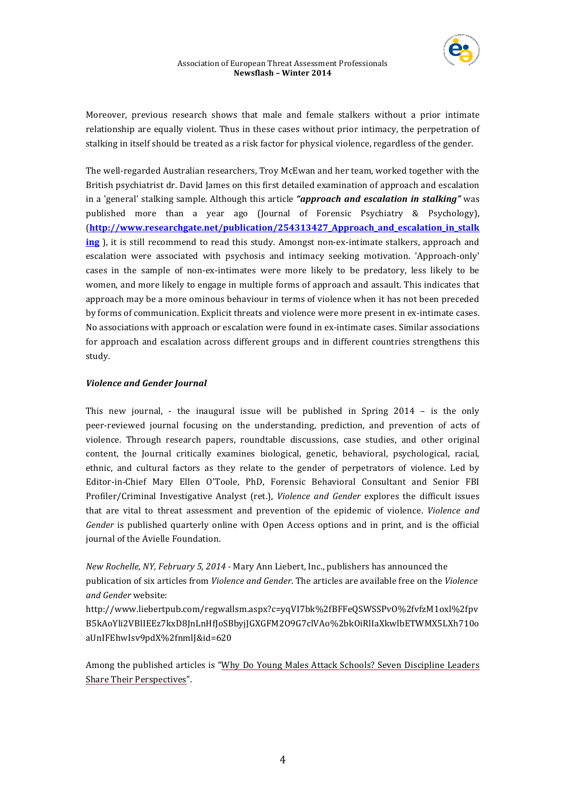

Moreover, previous research shows that male and female stalkers without a prior intimate relationship are equally violent. Thus in these cases without prior intimacy, the perpetration of stalking in itself should be treated as a risk factor for physical violence, regardless of the gender.

The well-regarded Australian researchers, Troy McEwan and her team, worked together with the British psychiatrist dr. David James on this first detailed examination of approach and escalation in a 'general' stalking sample. Although this article "approach and escalation in stalking" was published more than a year ago (Journal of Forensic Psychiatry & Psychology), (**http://www.researchgate.net/publication/254313427\_Approach\_and\_escalation\_in\_stalk ing**), it is still recommend to read this study. Amongst non-ex-intimate stalkers, approach and escalation were associated with psychosis and intimacy seeking motivation. 'Approach-only' cases in the sample of non-ex-intimates were more likely to be predatory, less likely to be women, and more likely to engage in multiple forms of approach and assault. This indicates that approach may be a more ominous behaviour in terms of violence when it has not been preceded by forms of communication. Explicit threats and violence were more present in ex-intimate cases. No associations with approach or escalation were found in ex-intimate cases. Similar associations for approach and escalation across different groups and in different countries strengthens this study.

# *Violence and Gender Journal*

This new journal, - the inaugural issue will be published in Spring  $2014 -$  is the only peer-reviewed journal focusing on the understanding, prediction, and prevention of acts of violence. Through research papers, roundtable discussions, case studies, and other original content, the Journal critically examines biological, genetic, behavioral, psychological, racial, ethnic, and cultural factors as they relate to the gender of perpetrators of violence. Led by Editor-in-Chief Mary Ellen O'Toole, PhD, Forensic Behavioral Consultant and Senior FBI Profiler/Criminal Investigative Analyst (ret.), *Violence and Gender* explores the difficult issues that are vital to threat assessment and prevention of the epidemic of violence. *Violence and Gender* is published quarterly online with Open Access options and in print, and is the official journal of the Avielle Foundation.

*New Rochelle, NY, February 5, 2014 - Mary Ann Liebert, Inc., publishers has announced the* publication of six articles from *Violence and Gender*. The articles are available free on the *Violence and Gender* website:

http://www.liebertpub.com/regwallsm.aspx?c=yqVI7bk%2fBFFeQSWSSPvO%2fvfzM1oxl%2fpv B5kAoYli2VBlIEEz7kxD8JnLnHfJoSBbyjJGXGFM2O9G7clVAo%2bkOiRlIaXkwlbETWMX5LXh710o aUnIFEhwIsv9pdX%2fnmlJ&id=620

Among the published articles is "Why Do Young Males Attack Schools? Seven Discipline Leaders Share Their Perspectives".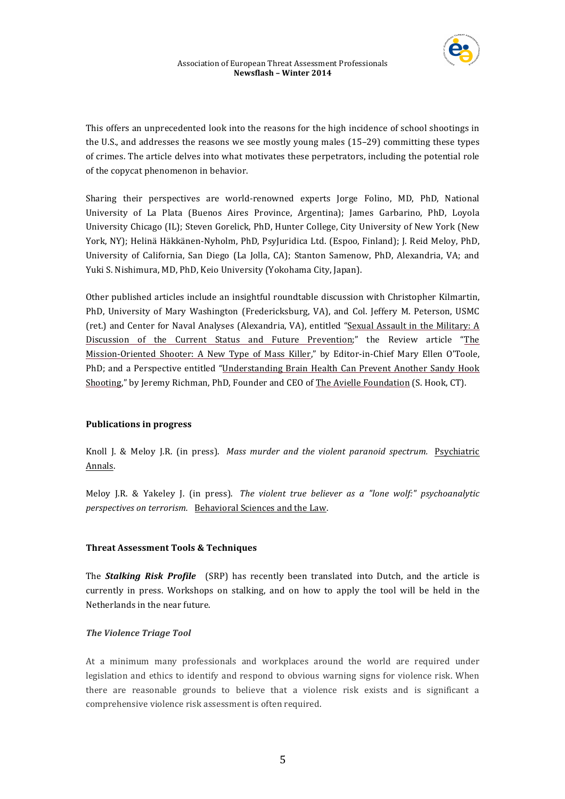

This offers an unprecedented look into the reasons for the high incidence of school shootings in the U.S., and addresses the reasons we see mostly young males  $(15-29)$  committing these types of crimes. The article delves into what motivates these perpetrators, including the potential role of the copycat phenomenon in behavior.

Sharing their perspectives are world-renowned experts Jorge Folino, MD, PhD, National University of La Plata (Buenos Aires Province, Argentina); James Garbarino, PhD, Loyola University Chicago (IL); Steven Gorelick, PhD, Hunter College, City University of New York (New York, NY); Helinä Häkkänen-Nyholm, PhD, PsyJuridica Ltd. (Espoo, Finland); J. Reid Meloy, PhD, University of California, San Diego (La Jolla, CA); Stanton Samenow, PhD, Alexandria, VA; and Yuki S. Nishimura, MD, PhD, Keio University (Yokohama City, Japan).

Other published articles include an insightful roundtable discussion with Christopher Kilmartin, PhD, University of Mary Washington (Fredericksburg, VA), and Col. Jeffery M. Peterson, USMC (ret.) and Center for Naval Analyses (Alexandria, VA), entitled "Sexual Assault in the Military: A Discussion of the Current Status and Future Prevention;" the Review article "The Mission-Oriented Shooter: A New Type of Mass Killer," by Editor-in-Chief Mary Ellen O'Toole, PhD; and a Perspective entitled "Understanding Brain Health Can Prevent Another Sandy Hook Shooting," by Jeremy Richman, PhD, Founder and CEO of The Avielle Foundation (S. Hook, CT).

# **Publications in progress**

Knoll J. & Meloy J.R. (in press). *Mass murder and the violent paranoid spectrum.* Psychiatric Annals.

Meloy J.R. & Yakeley J. (in press). *The violent true believer as a "lone wolf:" psychoanalytic perspectives on terrorism.* Behavioral Sciences and the Law.

## **Threat Assessment Tools & Techniques**

The **Stalking Risk Profile** (SRP) has recently been translated into Dutch, and the article is currently in press. Workshops on stalking, and on how to apply the tool will be held in the Netherlands in the near future.

## *The Violence Triage Tool*

At a minimum many professionals and workplaces around the world are required under legislation and ethics to identify and respond to obvious warning signs for violence risk. When there are reasonable grounds to believe that a violence risk exists and is significant a comprehensive violence risk assessment is often required.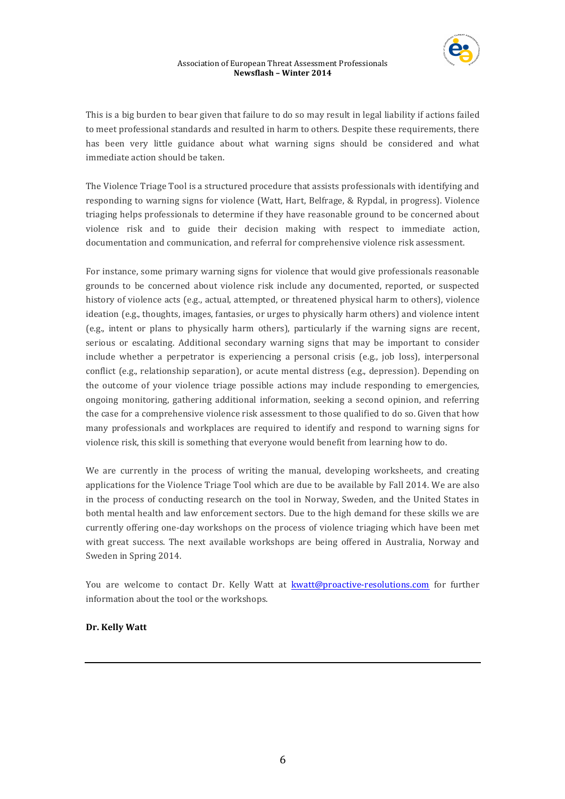

This is a big burden to bear given that failure to do so may result in legal liability if actions failed to meet professional standards and resulted in harm to others. Despite these requirements, there has been very little guidance about what warning signs should be considered and what immediate action should be taken.

The Violence Triage Tool is a structured procedure that assists professionals with identifying and responding to warning signs for violence (Watt, Hart, Belfrage, & Rypdal, in progress). Violence triaging helps professionals to determine if they have reasonable ground to be concerned about violence risk and to guide their decision making with respect to immediate action, documentation and communication, and referral for comprehensive violence risk assessment.

For instance, some primary warning signs for violence that would give professionals reasonable grounds to be concerned about violence risk include any documented, reported, or suspected history of violence acts (e.g., actual, attempted, or threatened physical harm to others), violence ideation (e.g., thoughts, images, fantasies, or urges to physically harm others) and violence intent (e.g., intent or plans to physically harm others), particularly if the warning signs are recent, serious or escalating. Additional secondary warning signs that may be important to consider include whether a perpetrator is experiencing a personal crisis (e.g., job loss), interpersonal conflict (e.g., relationship separation), or acute mental distress (e.g., depression). Depending on the outcome of your violence triage possible actions may include responding to emergencies, ongoing monitoring, gathering additional information, seeking a second opinion, and referring the case for a comprehensive violence risk assessment to those qualified to do so. Given that how many professionals and workplaces are required to identify and respond to warning signs for violence risk, this skill is something that everyone would benefit from learning how to do.

We are currently in the process of writing the manual, developing worksheets, and creating applications for the Violence Triage Tool which are due to be available by Fall 2014. We are also in the process of conducting research on the tool in Norway, Sweden, and the United States in both mental health and law enforcement sectors. Due to the high demand for these skills we are currently offering one-day workshops on the process of violence triaging which have been met with great success. The next available workshops are being offered in Australia, Norway and Sweden in Spring 2014.

You are welcome to contact Dr. Kelly Watt at kwatt@proactive-resolutions.com for further information about the tool or the workshops.

# **Dr. Kelly Watt**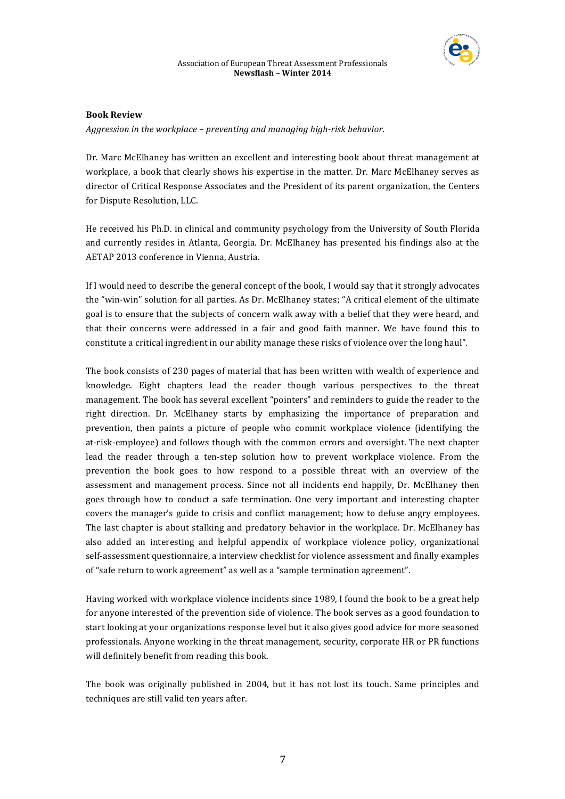

#### Association of European Threat Assessment Professionals **Newsflash – Winter 2014**

## **Book Review**

*Aggression in the workplace – preventing and managing high-risk behavior.* 

Dr. Marc McElhaney has written an excellent and interesting book about threat management at workplace, a book that clearly shows his expertise in the matter. Dr. Marc McElhaney serves as director of Critical Response Associates and the President of its parent organization, the Centers for Dispute Resolution, LLC.

He received his Ph.D. in clinical and community psychology from the University of South Florida and currently resides in Atlanta, Georgia. Dr. McElhaney has presented his findings also at the AETAP 2013 conference in Vienna, Austria.

If I would need to describe the general concept of the book, I would say that it strongly advocates the "win-win" solution for all parties. As Dr. McElhaney states; "A critical element of the ultimate goal is to ensure that the subjects of concern walk away with a belief that they were heard, and that their concerns were addressed in a fair and good faith manner. We have found this to constitute a critical ingredient in our ability manage these risks of violence over the long haul".

The book consists of 230 pages of material that has been written with wealth of experience and knowledge. Eight chapters lead the reader though various perspectives to the threat management. The book has several excellent "pointers" and reminders to guide the reader to the right direction. Dr. McElhaney starts by emphasizing the importance of preparation and prevention, then paints a picture of people who commit workplace violence (identifying the at-risk-employee) and follows though with the common errors and oversight. The next chapter lead the reader through a ten-step solution how to prevent workplace violence. From the prevention the book goes to how respond to a possible threat with an overview of the assessment and management process. Since not all incidents end happily, Dr. McElhaney then goes through how to conduct a safe termination. One very important and interesting chapter covers the manager's guide to crisis and conflict management; how to defuse angry employees. The last chapter is about stalking and predatory behavior in the workplace. Dr. McElhaney has also added an interesting and helpful appendix of workplace violence policy, organizational self-assessment questionnaire, a interview checklist for violence assessment and finally examples of "safe return to work agreement" as well as a "sample termination agreement".

Having worked with workplace violence incidents since 1989, I found the book to be a great help for anyone interested of the prevention side of violence. The book serves as a good foundation to start looking at your organizations response level but it also gives good advice for more seasoned professionals. Anyone working in the threat management, security, corporate HR or PR functions will definitely benefit from reading this book.

The book was originally published in 2004, but it has not lost its touch. Same principles and techniques are still valid ten years after.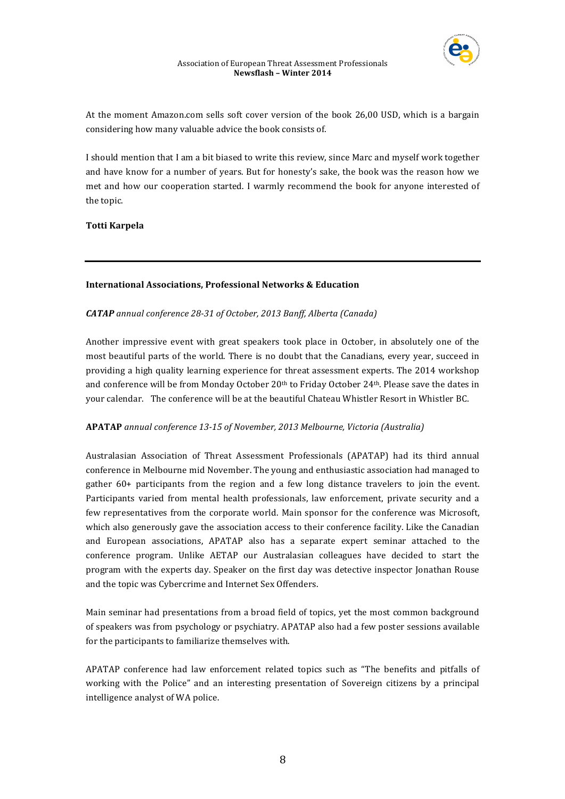

At the moment Amazon.com sells soft cover version of the book 26,00 USD, which is a bargain considering how many valuable advice the book consists of.

I should mention that I am a bit biased to write this review, since Marc and myself work together and have know for a number of years. But for honesty's sake, the book was the reason how we met and how our cooperation started. I warmly recommend the book for anyone interested of the topic.

**Totti Karpela** 

## **International Associations, Professional Networks & Education**

## **CATAP** annual conference 28-31 of October, 2013 Banff, Alberta (Canada)

Another impressive event with great speakers took place in October, in absolutely one of the most beautiful parts of the world. There is no doubt that the Canadians, every year, succeed in providing a high quality learning experience for threat assessment experts. The 2014 workshop and conference will be from Monday October 20<sup>th</sup> to Friday October 24<sup>th</sup>. Please save the dates in your calendar. The conference will be at the beautiful Chateau Whistler Resort in Whistler BC.

## **APATAP** *annual conference 13-15 of November, 2013 Melbourne, Victoria (Australia)*

Australasian Association of Threat Assessment Professionals (APATAP) had its third annual conference in Melbourne mid November. The young and enthusiastic association had managed to gather  $60+$  participants from the region and a few long distance travelers to join the event. Participants varied from mental health professionals, law enforcement, private security and a few representatives from the corporate world. Main sponsor for the conference was Microsoft, which also generously gave the association access to their conference facility. Like the Canadian and European associations, APATAP also has a separate expert seminar attached to the conference program. Unlike AETAP our Australasian colleagues have decided to start the program with the experts day. Speaker on the first day was detective inspector Jonathan Rouse and the topic was Cybercrime and Internet Sex Offenders.

Main seminar had presentations from a broad field of topics, yet the most common background of speakers was from psychology or psychiatry. APATAP also had a few poster sessions available for the participants to familiarize themselves with.

APATAP conference had law enforcement related topics such as "The benefits and pitfalls of working with the Police" and an interesting presentation of Sovereign citizens by a principal intelligence analyst of WA police.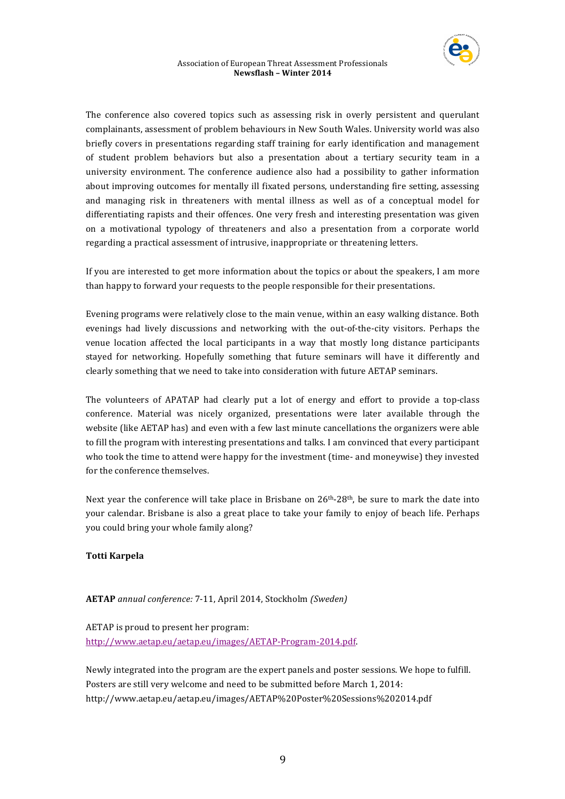

The conference also covered topics such as assessing risk in overly persistent and querulant complainants, assessment of problem behaviours in New South Wales. University world was also briefly covers in presentations regarding staff training for early identification and management of student problem behaviors but also a presentation about a tertiary security team in a university environment. The conference audience also had a possibility to gather information about improving outcomes for mentally ill fixated persons, understanding fire setting, assessing and managing risk in threateners with mental illness as well as of a conceptual model for differentiating rapists and their offences. One very fresh and interesting presentation was given on a motivational typology of threateners and also a presentation from a corporate world regarding a practical assessment of intrusive, inappropriate or threatening letters.

If you are interested to get more information about the topics or about the speakers, I am more than happy to forward your requests to the people responsible for their presentations.

Evening programs were relatively close to the main venue, within an easy walking distance. Both evenings had lively discussions and networking with the out-of-the-city visitors. Perhaps the venue location affected the local participants in a way that mostly long distance participants stayed for networking. Hopefully something that future seminars will have it differently and clearly something that we need to take into consideration with future AETAP seminars.

The volunteers of APATAP had clearly put a lot of energy and effort to provide a top-class conference. Material was nicely organized, presentations were later available through the website (like AETAP has) and even with a few last minute cancellations the organizers were able to fill the program with interesting presentations and talks. I am convinced that every participant who took the time to attend were happy for the investment (time- and moneywise) they invested for the conference themselves.

Next year the conference will take place in Brisbane on  $26<sup>th</sup>-28<sup>th</sup>$ , be sure to mark the date into your calendar. Brisbane is also a great place to take your family to enjoy of beach life. Perhaps you could bring your whole family along?

# **Totti Karpela**

**AETAP** *annual conference:* 7-11, April 2014, Stockholm *(Sweden)*

AETAP is proud to present her program: http://www.aetap.eu/aetap.eu/images/AETAP-Program-2014.pdf. 

Newly integrated into the program are the expert panels and poster sessions. We hope to fulfill. Posters are still very welcome and need to be submitted before March 1, 2014: http://www.aetap.eu/aetap.eu/images/AETAP%20Poster%20Sessions%202014.pdf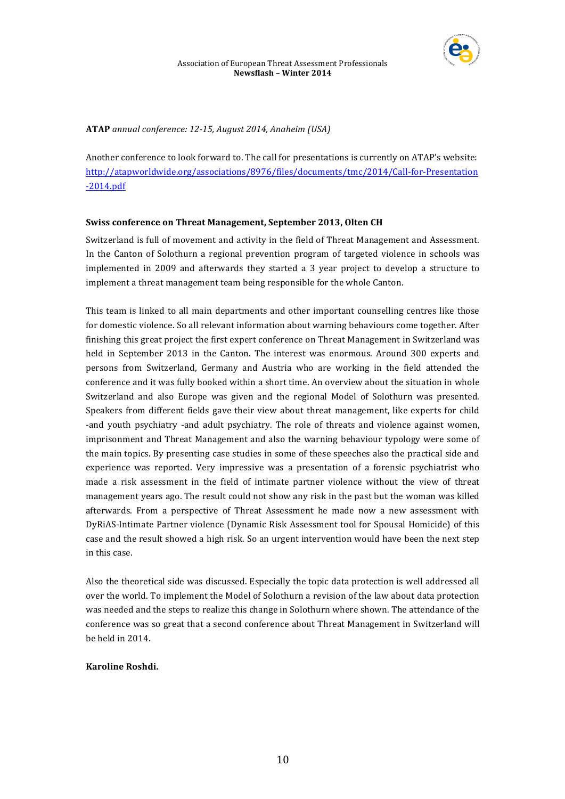

## **ATAP** *annual conference: 12-15, August 2014, Anaheim (USA)*

Another conference to look forward to. The call for presentations is currently on ATAP's website: http://atapworldwide.org/associations/8976/files/documents/tmc/2014/Call-for-Presentation -2014.pdf

# **Swiss conference on Threat Management, September 2013, Olten CH**

Switzerland is full of movement and activity in the field of Threat Management and Assessment. In the Canton of Solothurn a regional prevention program of targeted violence in schools was implemented in 2009 and afterwards they started a 3 year project to develop a structure to implement a threat management team being responsible for the whole Canton.

This team is linked to all main departments and other important counselling centres like those for domestic violence. So all relevant information about warning behaviours come together. After finishing this great project the first expert conference on Threat Management in Switzerland was held in September 2013 in the Canton. The interest was enormous. Around 300 experts and persons from Switzerland, Germany and Austria who are working in the field attended the conference and it was fully booked within a short time. An overview about the situation in whole Switzerland and also Europe was given and the regional Model of Solothurn was presented. Speakers from different fields gave their view about threat management, like experts for child -and youth psychiatry -and adult psychiatry. The role of threats and violence against women, imprisonment and Threat Management and also the warning behaviour typology were some of the main topics. By presenting case studies in some of these speeches also the practical side and experience was reported. Very impressive was a presentation of a forensic psychiatrist who made a risk assessment in the field of intimate partner violence without the view of threat management years ago. The result could not show any risk in the past but the woman was killed afterwards. From a perspective of Threat Assessment he made now a new assessment with DyRiAS-Intimate Partner violence (Dynamic Risk Assessment tool for Spousal Homicide) of this case and the result showed a high risk. So an urgent intervention would have been the next step in this case.

Also the theoretical side was discussed. Especially the topic data protection is well addressed all over the world. To implement the Model of Solothurn a revision of the law about data protection was needed and the steps to realize this change in Solothurn where shown. The attendance of the conference was so great that a second conference about Threat Management in Switzerland will be held in 2014.

## **Karoline Roshdi.**